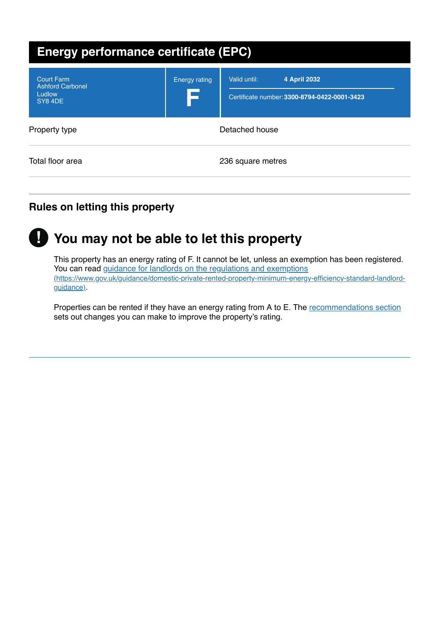| <b>Energy performance certificate (EPC)</b>                      |                      |                                                                              |
|------------------------------------------------------------------|----------------------|------------------------------------------------------------------------------|
| <b>Court Farm</b><br><b>Ashford Carbonel</b><br>Ludlow<br>SY84DE | <b>Energy rating</b> | Valid until:<br>4 April 2032<br>Certificate number: 3300-8794-0422-0001-3423 |
| Property type                                                    |                      | Detached house                                                               |
| Total floor area                                                 |                      | 236 square metres                                                            |

# **Rules on letting this property**



# **You may not be able to let this property !**

This property has an energy rating of F. It cannot be let, unless an exemption has been registered. You can read guidance for landlords on the regulations and exemptions [\(https://www.gov.uk/guidance/domestic-private-rented-property-minimum-energy-efficiency-standard-landlord](https://www.gov.uk/guidance/domestic-private-rented-property-minimum-energy-efficiency-standard-landlord-guidance)guidance).

Properties can be rented if they have an energy rating from A to E. The [recommendations](#page-3-0) section sets out changes you can make to improve the property's rating.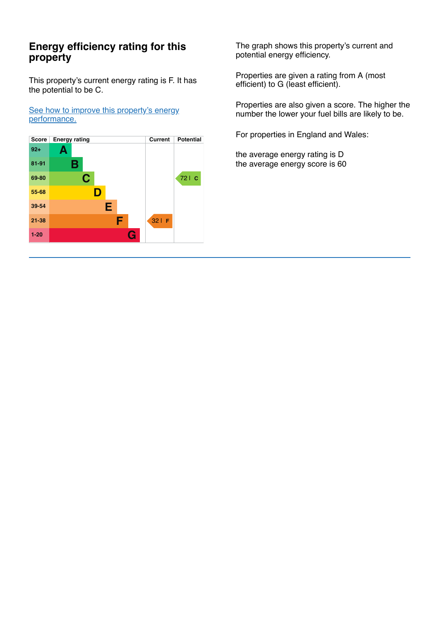## **Energy efficiency rating for this property**

This property's current energy rating is F. It has the potential to be C.

See how to improve this property's energy [performance.](#page-3-0)



The graph shows this property's current and potential energy efficiency.

Properties are given a rating from A (most efficient) to G (least efficient).

Properties are also given a score. The higher the number the lower your fuel bills are likely to be.

For properties in England and Wales:

the average energy rating is D the average energy score is 60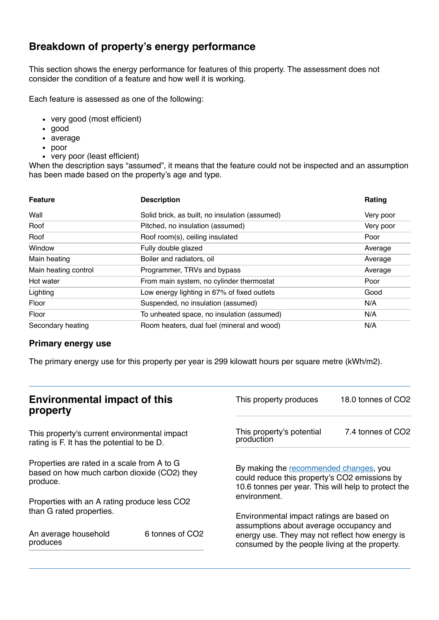## **Breakdown of property's energy performance**

This section shows the energy performance for features of this property. The assessment does not consider the condition of a feature and how well it is working.

Each feature is assessed as one of the following:

- very good (most efficient)
- good
- average
- poor
- very poor (least efficient)

When the description says "assumed", it means that the feature could not be inspected and an assumption has been made based on the property's age and type.

| <b>Feature</b>       | <b>Description</b>                             | Rating    |
|----------------------|------------------------------------------------|-----------|
| Wall                 | Solid brick, as built, no insulation (assumed) | Very poor |
| Roof                 | Pitched, no insulation (assumed)               | Very poor |
| Roof                 | Roof room(s), ceiling insulated                | Poor      |
| Window               | Fully double glazed                            | Average   |
| Main heating         | Boiler and radiators, oil                      | Average   |
| Main heating control | Programmer, TRVs and bypass                    | Average   |
| Hot water            | From main system, no cylinder thermostat       | Poor      |
| Lighting             | Low energy lighting in 67% of fixed outlets    | Good      |
| Floor                | Suspended, no insulation (assumed)             | N/A       |
| Floor                | To unheated space, no insulation (assumed)     | N/A       |
| Secondary heating    | Room heaters, dual fuel (mineral and wood)     | N/A       |

#### **Primary energy use**

The primary energy use for this property per year is 299 kilowatt hours per square metre (kWh/m2).

|                                                                                                        | This property produces                                                                                                                 | 18.0 tonnes of CO2                                                                                                                             |  |
|--------------------------------------------------------------------------------------------------------|----------------------------------------------------------------------------------------------------------------------------------------|------------------------------------------------------------------------------------------------------------------------------------------------|--|
| This property's current environmental impact<br>rating is F. It has the potential to be D.             |                                                                                                                                        | 7.4 tonnes of CO2                                                                                                                              |  |
| Properties are rated in a scale from A to G<br>based on how much carbon dioxide (CO2) they<br>produce. |                                                                                                                                        | By making the recommended changes, you<br>could reduce this property's CO2 emissions by<br>10.6 tonnes per year. This will help to protect the |  |
|                                                                                                        |                                                                                                                                        |                                                                                                                                                |  |
| 6 tonnes of CO <sub>2</sub>                                                                            | Environmental impact ratings are based on<br>assumptions about average occupancy and<br>energy use. They may not reflect how energy is |                                                                                                                                                |  |
|                                                                                                        | <b>Environmental impact of this</b><br>Properties with an A rating produce less CO2                                                    | This property's potential<br>production<br>environment.                                                                                        |  |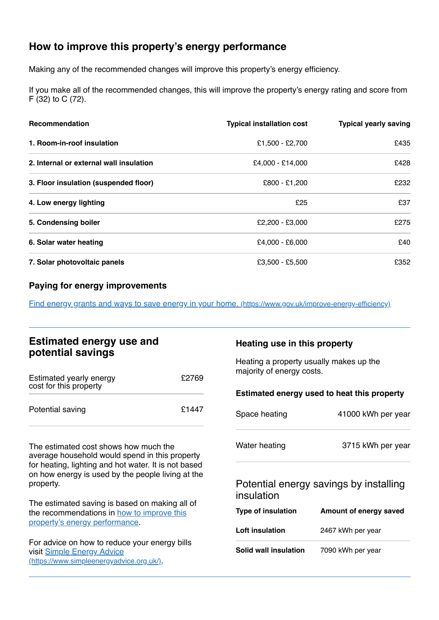# <span id="page-3-0"></span>**How to improve this property's energy performance**

Making any of the recommended changes will improve this property's energy efficiency.

If you make all of the recommended changes, this will improve the property's energy rating and score from F (32) to C (72).

| <b>Recommendation</b>                   | <b>Typical installation cost</b> | <b>Typical yearly saving</b> |
|-----------------------------------------|----------------------------------|------------------------------|
| 1. Room-in-roof insulation              | £1,500 - £2,700                  | £435                         |
| 2. Internal or external wall insulation | £4.000 - £14.000                 | £428                         |
| 3. Floor insulation (suspended floor)   | £800 - £1,200                    | £232                         |
| 4. Low energy lighting                  | £25                              | £37                          |
| 5. Condensing boiler                    | £2,200 - £3,000                  | £275                         |
| 6. Solar water heating                  | £4,000 - £6,000                  | £40                          |
| 7. Solar photovoltaic panels            | £3,500 - £5,500                  | £352                         |

#### **Paying for energy improvements**

Find energy grants and ways to save energy in your home. [\(https://www.gov.uk/improve-energy-efficiency\)](https://www.gov.uk/improve-energy-efficiency)

## **Estimated energy use and potential savings**

| Estimated yearly energy<br>cost for this property | £2769 |
|---------------------------------------------------|-------|
| Potential saving                                  | £1447 |

The estimated cost shows how much the average household would spend in this property for heating, lighting and hot water. It is not based on how energy is used by the people living at the property.

The estimated saving is based on making all of the [recommendations](#page-3-0) in how to improve this property's energy performance.

For advice on how to reduce your energy bills visit Simple Energy Advice [\(https://www.simpleenergyadvice.org.uk/\)](https://www.simpleenergyadvice.org.uk/).

#### **Heating use in this property**

Heating a property usually makes up the majority of energy costs.

#### **Estimated energy used to heat this property**

| Space heating | 41000 kWh per year |
|---------------|--------------------|
| Water heating | 3715 kWh per year  |

## Potential energy savings by installing insulation

| Type of insulation     | Amount of energy saved |
|------------------------|------------------------|
| <b>Loft insulation</b> | 2467 kWh per year      |
| Solid wall insulation  | 7090 kWh per year      |